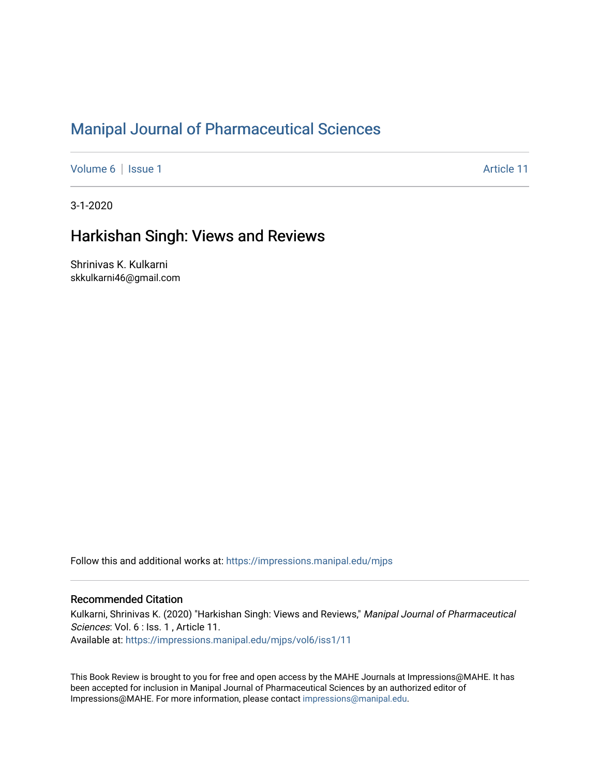# [Manipal Journal of Pharmaceutical Sciences](https://impressions.manipal.edu/mjps)

[Volume 6](https://impressions.manipal.edu/mjps/vol6) | [Issue 1](https://impressions.manipal.edu/mjps/vol6/iss1) Article 11

3-1-2020

## Harkishan Singh: Views and Reviews

Shrinivas K. Kulkarni skkulkarni46@gmail.com

Follow this and additional works at: [https://impressions.manipal.edu/mjps](https://impressions.manipal.edu/mjps?utm_source=impressions.manipal.edu%2Fmjps%2Fvol6%2Fiss1%2F11&utm_medium=PDF&utm_campaign=PDFCoverPages)

### Recommended Citation

Kulkarni, Shrinivas K. (2020) "Harkishan Singh: Views and Reviews," Manipal Journal of Pharmaceutical Sciences: Vol. 6 : Iss. 1, Article 11. Available at: [https://impressions.manipal.edu/mjps/vol6/iss1/11](https://impressions.manipal.edu/mjps/vol6/iss1/11?utm_source=impressions.manipal.edu%2Fmjps%2Fvol6%2Fiss1%2F11&utm_medium=PDF&utm_campaign=PDFCoverPages) 

This Book Review is brought to you for free and open access by the MAHE Journals at Impressions@MAHE. It has been accepted for inclusion in Manipal Journal of Pharmaceutical Sciences by an authorized editor of Impressions@MAHE. For more information, please contact [impressions@manipal.edu](mailto:impressions@manipal.edu).